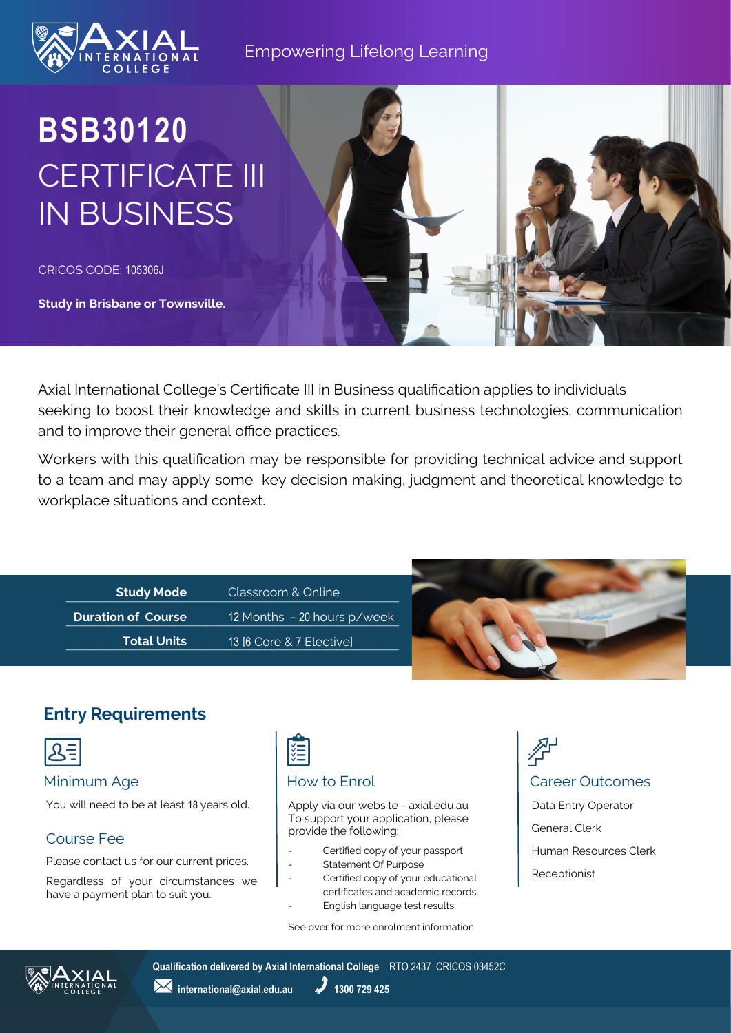

### Empowering Lifelong Learning

## **BSB30120** CERTIFICATE III IN BUSINESS

CRICOS CODE: 105306J

**Study in Brisbane or Townsville.**

Axial International College's Certificate III in Business qualification applies to individuals seeking to boost their knowledge and skills in current business technologies, communication and to improve their general office practices.

Workers with this qualification may be responsible for providing technical advice and support to a team and may apply some key decision making, judgment and theoretical knowledge to workplace situations and context.

| <b>Study Mode</b>         | Classroom & Online          |
|---------------------------|-----------------------------|
| <b>Duration of Course</b> | 12 Months - 20 hours p/week |
| <b>Total Units</b>        | 13 [6 Core & 7 Elective]    |



### **Entry Requirements**



You will need to be at least 18 years old.

### Course Fee

Please contact us for our current prices.

Regardless of your circumstances we have a payment plan to suit you.

# 诣

Apply via our website - axial.edu.au To support your application, please provide the following:

- Certified copy of your passport
- Statement Of Purpose
- Certified copy of your educational certificates and academic records. English language test results.
- 

See over for more enrolment information

## Minimum Age **How to Enrol** How to Enrol **Career Outcomes** Data Entry Operator

General Clerk Human Resources Clerk Receptionist



**Qualification delivered by Axial International College** RTO 2437 CRICOS 03452C

**1300 729 425** international@axial.edu.au 1300 729 425